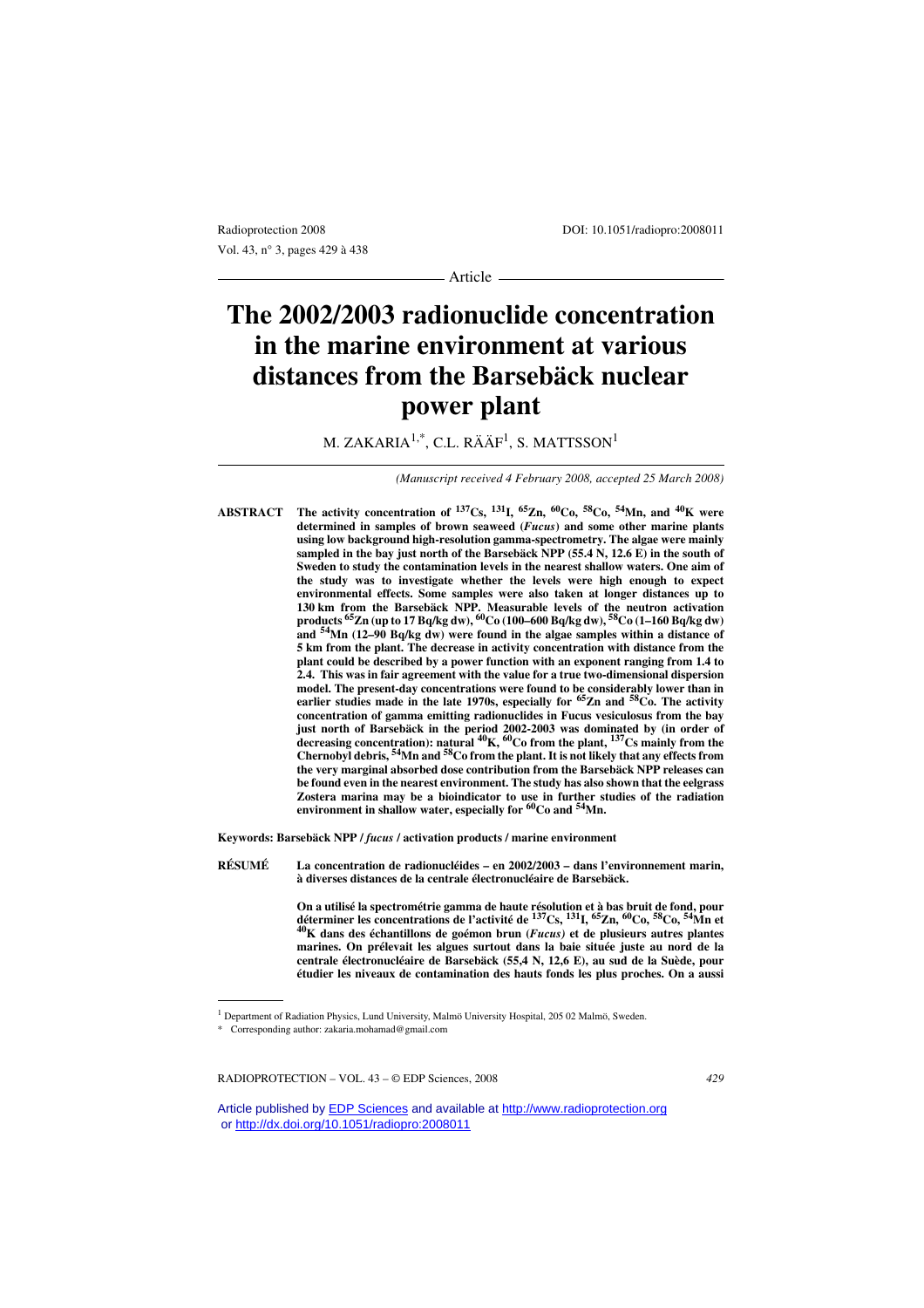Vol. 43, n° 3, pages 429 à 438

Radioprotection 2008 DOI: 10.1051/radiopro:2008011

- Article -

# **The 2002/2003 radionuclide concentration in the marine environment at various distances from the Barsebäck nuclear power plant**

M. ZAKARIA $^{1,\ast}$ , C.L. RÄÄF $^{1}$ , S. MATTSSON $^{1}$ 

*(Manuscript received 4 February 2008, accepted 25 March 2008)*

**ABSTRACT The activity concentration of 137Cs, 131I, 65Zn, 60Co, 58Co, 54Mn, and 40K were determined in samples of brown seaweed (***Fucus***) and some other marine plants using low background high-resolution gamma-spectrometry. The algae were mainly sampled in the bay just north of the Barsebäck NPP (55.4 N, 12.6 E) in the south of Sweden to study the contamination levels in the nearest shallow waters. One aim of the study was to investigate whether the levels were high enough to expect environmental effects. Some samples were also taken at longer distances up to 130 km from the Barsebäck NPP. Measurable levels of the neutron activation products 65Zn (up to 17 Bq/kg dw), 60Co (100–600 Bq/kg dw), 58Co (1–160 Bq/kg dw) and 54Mn (12–90 Bq/kg dw) were found in the algae samples within a distance of 5 km from the plant. The decrease in activity concentration with distance from the plant could be described by a power function with an exponent ranging from 1.4 to 2.4. This was in fair agreement with the value for a true two-dimensional dispersion model. The present-day concentrations were found to be considerably lower than in earlier studies made in the late 1970s, especially for 65Zn and 58Co. The activity concentration of gamma emitting radionuclides in Fucus vesiculosus from the bay just north of Barsebäck in the period 2002-2003 was dominated by (in order of decreasing concentration): natural 40K, 60Co from the plant, 137Cs mainly from the Chernobyl debris, 54Mn and 58Co from the plant. It is not likely that any effects from the very marginal absorbed dose contribution from the Barsebäck NPP releases can be found even in the nearest environment. The study has also shown that the eelgrass Zostera marina may be a bioindicator to use in further studies of the radiation environment in shallow water, especially for 60Co and 54Mn.**

**Keywords: Barsebäck NPP /** *fucus* **/ activation products / marine environment**

**RÉSUMÉ La concentration de radionucléides – en 2002/2003 – dans l'environnement marin, à diverses distances de la centrale électronucléaire de Barsebäck.**

> On a utilisé la spectrométrie gamma de haute résolution et à bas bruit de fond, pour<br>déterminer les concentrations de l'activité de <sup>137</sup>Cs, <sup>131</sup>I, <sup>65</sup>Zn, <sup>60</sup>Co, <sup>58</sup>Co, <sup>54</sup>Mn et<br><sup>40</sup>K dans des échantillons de goémon b **marines. On prélevait les algues surtout dans la baie située juste au nord de la centrale électronucléaire de Barsebäck (55,4 N, 12,6 E), au sud de la Suède, pour étudier les niveaux de contamination des hauts fonds les plus proches. On a aussi**

RADIOPROTECTION – VOL. 43 – © EDP Sciences, 2008 *429*

<sup>&</sup>lt;sup>1</sup> Department of Radiation Physics, Lund University, Malmö University Hospital, 205 02 Malmö, Sweden.

<sup>\*</sup> Corresponding author: zakaria.mohamad@gmail.com

Article published by **EDP Sciences** and available at<http://www.radioprotection.org> or <http://dx.doi.org/10.1051/radiopro:2008011>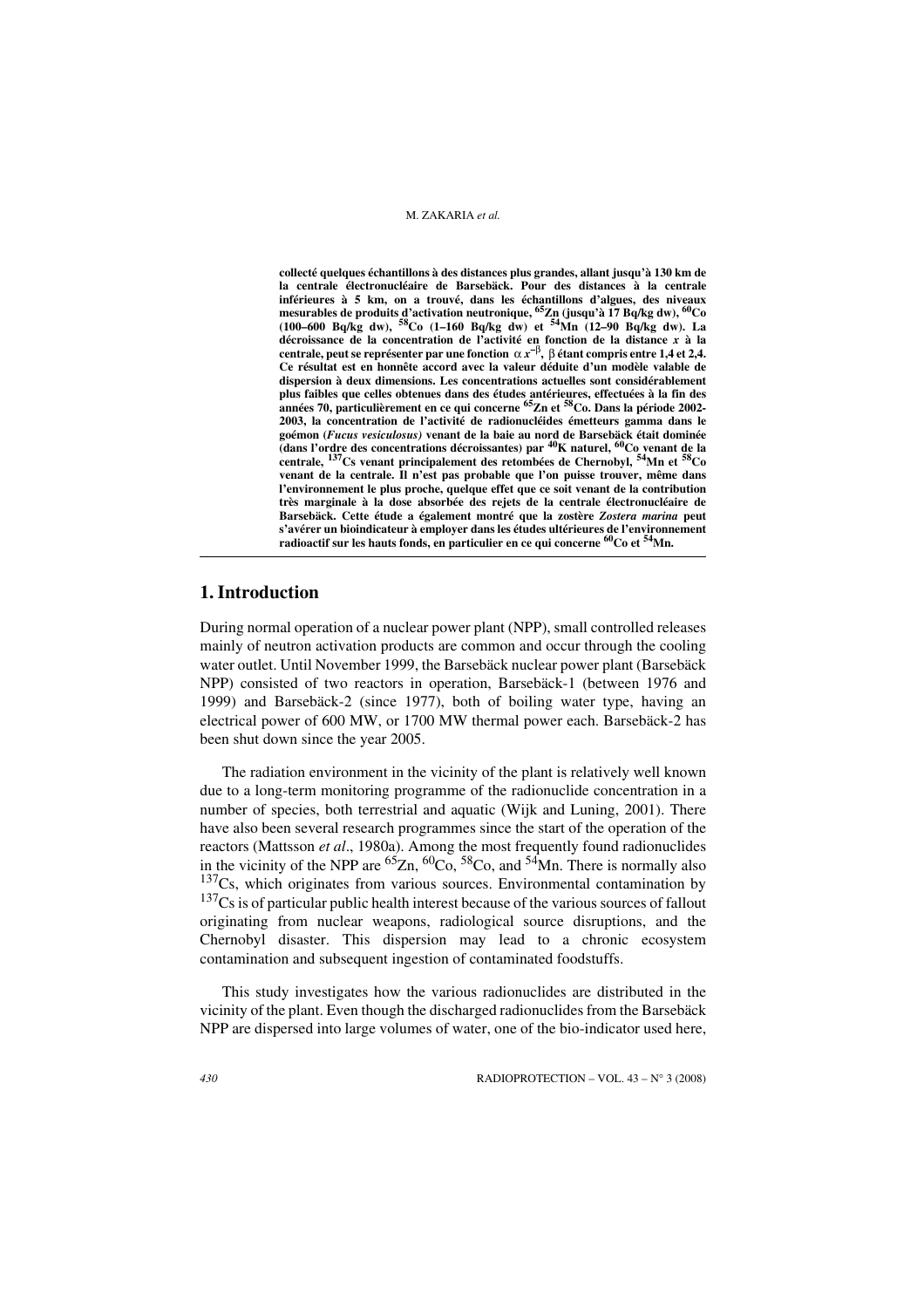**collecté quelques échantillons à des distances plus grandes, allant jusqu'à 130 km de la centrale électronucléaire de Barsebäck. Pour des distances à la centrale inférieures à 5 km, on a trouvé, dans les échantillons d'algues, des niveaux mesurables de produits d'activation neutronique, 65Zn (jusqu'à 17 Bq/kg dw), 60Co (100–600 Bq/kg dw), 58Co (1–160 Bq/kg dw) et 54Mn (12–90 Bq/kg dw). La décroissance de la concentration de l'activité en fonction de la distance** *x* **à la centrale, peut se représenter par une fonction** α *x***–**β**,** β **étant compris entre 1,4 et 2,4. Ce résultat est en honnête accord avec la valeur déduite d'un modèle valable de dispersion à deux dimensions. Les concentrations actuelles sont considérablement plus faibles que celles obtenues dans des études antérieures, effectuées à la fin des années 70, particulièrement en ce qui concerne 65Zn et 58Co. Dans la période 2002- 2003, la concentration de l'activité de radionucléides émetteurs gamma dans le goémon (***Fucus vesiculosus)* **venant de la baie au nord de Barsebäck était dominée (dans l'ordre des concentrations décroissantes) par 40K naturel, 60Co venant de la centrale, 137Cs venant principalement des retombées de Chernobyl, 54Mn et 58Co venant de la centrale. Il n'est pas probable que l'on puisse trouver, même dans l'environnement le plus proche, quelque effet que ce soit venant de la contribution très marginale à la dose absorbée des rejets de la centrale électronucléaire de Barsebäck. Cette étude a également montré que la zostère** *Zostera marina* **peut s'avérer un bioindicateur à employer dans les études ultérieures de l'environnement radioactif sur les hauts fonds, en particulier en ce qui concerne 60Co et 54Mn.** 

# **1. Introduction**

During normal operation of a nuclear power plant (NPP), small controlled releases mainly of neutron activation products are common and occur through the cooling water outlet. Until November 1999, the Barsebäck nuclear power plant (Barsebäck NPP) consisted of two reactors in operation, Barsebäck-1 (between 1976 and 1999) and Barsebäck-2 (since 1977), both of boiling water type, having an electrical power of 600 MW, or 1700 MW thermal power each. Barsebäck-2 has been shut down since the year 2005.

The radiation environment in the vicinity of the plant is relatively well known due to a long-term monitoring programme of the radionuclide concentration in a number of species, both terrestrial and aquatic (Wijk and Luning, 2001). There have also been several research programmes since the start of the operation of the reactors (Mattsson *et al*., 1980a). Among the most frequently found radionuclides in the vicinity of the NPP are  ${}^{65}Zn$ ,  ${}^{60}Co$ ,  ${}^{58}Co$ , and  ${}^{54}Mn$ . There is normally also  $137Cs$ , which originates from various sources. Environmental contamination by  $137Cs$  is of particular public health interest because of the various sources of fallout originating from nuclear weapons, radiological source disruptions, and the Chernobyl disaster. This dispersion may lead to a chronic ecosystem contamination and subsequent ingestion of contaminated foodstuffs.

This study investigates how the various radionuclides are distributed in the vicinity of the plant. Even though the discharged radionuclides from the Barsebäck NPP are dispersed into large volumes of water, one of the bio-indicator used here,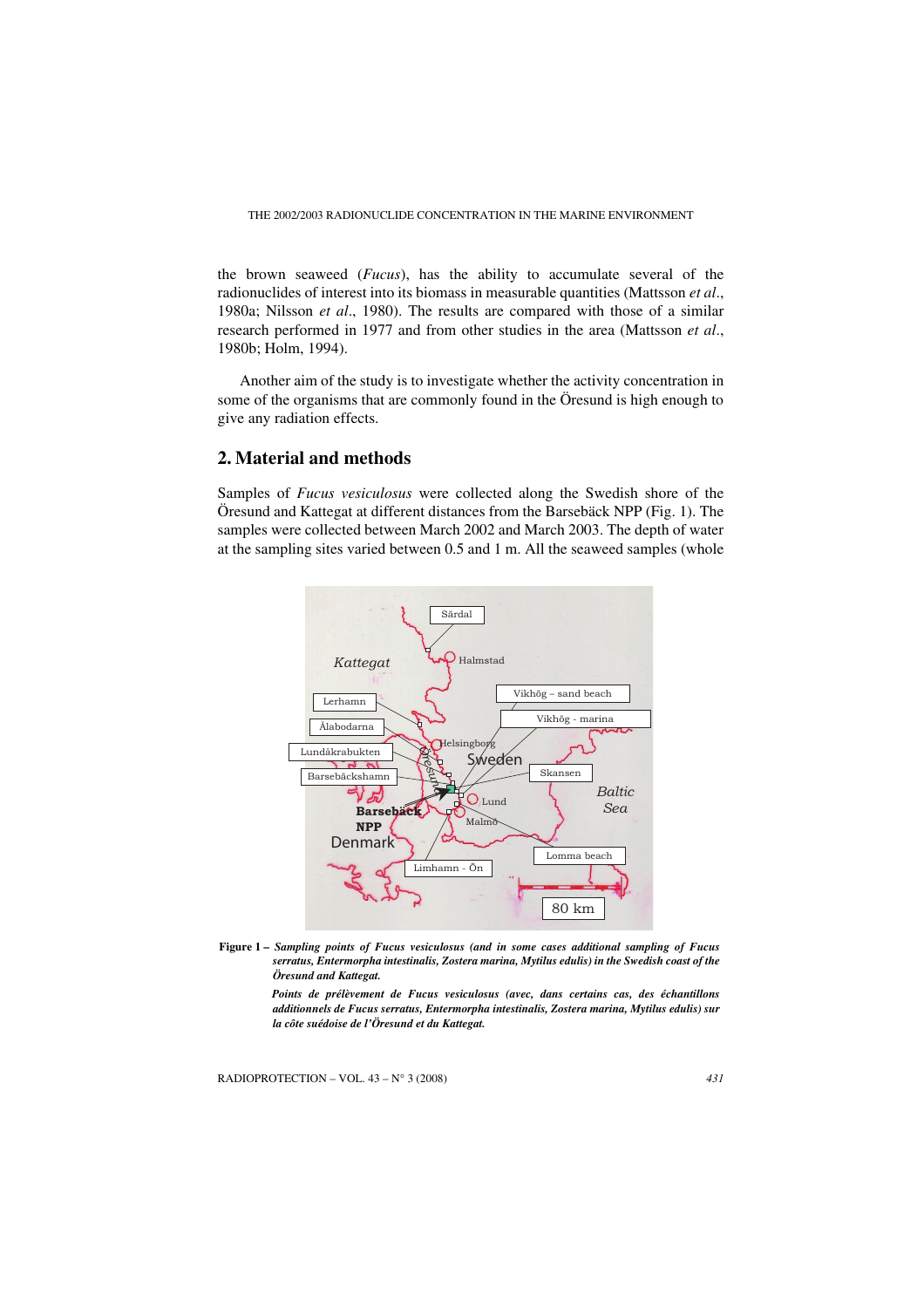THE 2002/2003 RADIONUCLIDE CONCENTRATION IN THE MARINE ENVIRONMENT

the brown seaweed (*Fucus*), has the ability to accumulate several of the radionuclides of interest into its biomass in measurable quantities (Mattsson *et al*., 1980a; Nilsson *et al*., 1980). The results are compared with those of a similar research performed in 1977 and from other studies in the area (Mattsson *et al*., 1980b; Holm, 1994).

Another aim of the study is to investigate whether the activity concentration in some of the organisms that are commonly found in the Öresund is high enough to give any radiation effects.

# **2. Material and methods**

Samples of *Fucus vesiculosus* were collected along the Swedish shore of the Öresund and Kattegat at different distances from the Barsebäck NPP (Fig. 1). The samples were collected between March 2002 and March 2003. The depth of water at the sampling sites varied between 0.5 and 1 m. All the seaweed samples (whole



**Figure 1 –** *Sampling points of Fucus vesiculosus (and in some cases additional sampling of Fucus serratus, Entermorpha intestinalis, Zostera marina, Mytilus edulis) in the Swedish coast of the Öresund and Kattegat.*

> *Points de prélèvement de Fucus vesiculosus (avec, dans certains cas, des échantillons additionnels de Fucus serratus, Entermorpha intestinalis, Zostera marina, Mytilus edulis) sur la côte suédoise de l'Öresund et du Kattegat.*

RADIOPROTECTION – VOL. 43 – N° 3 (2008) *431*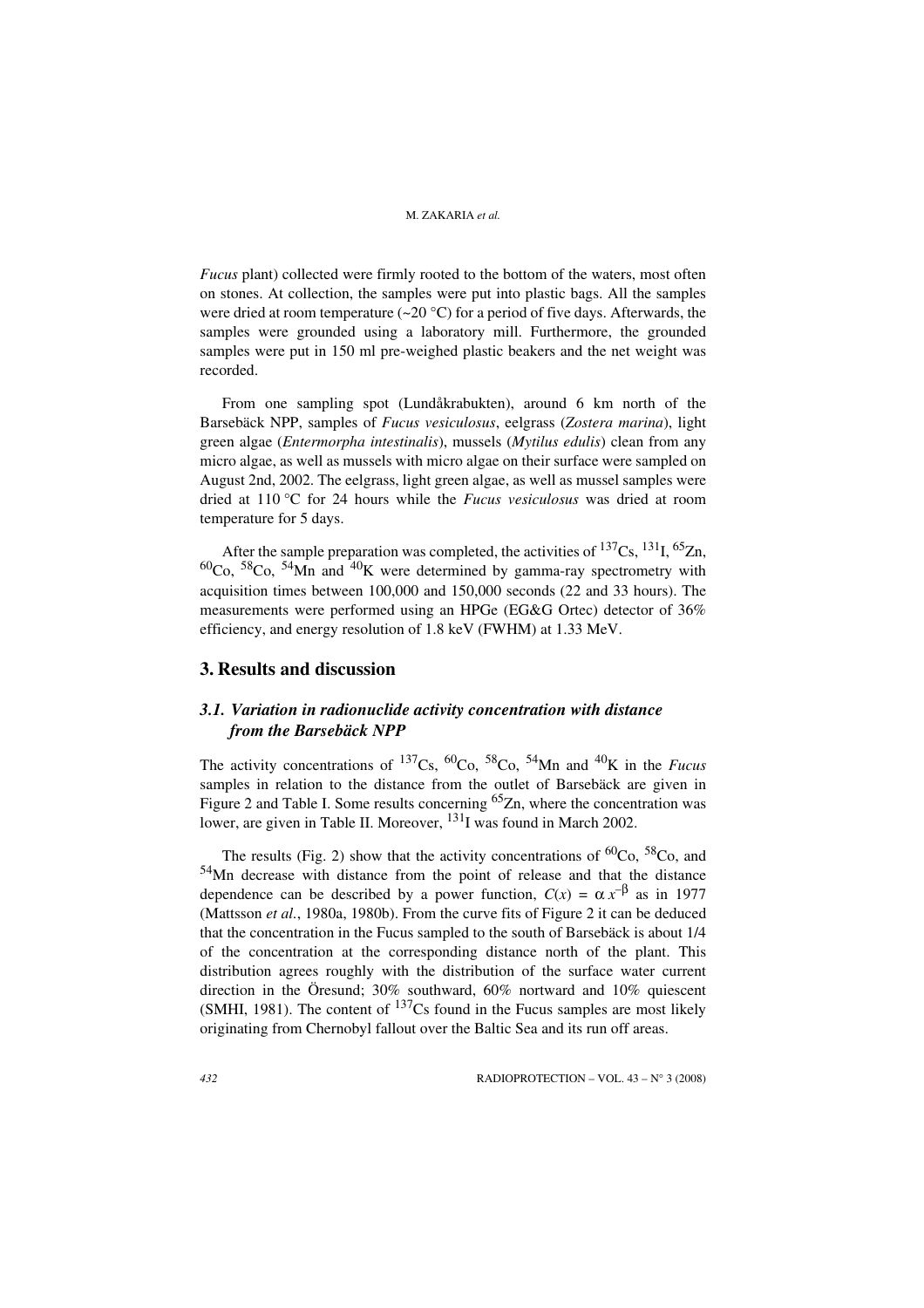*Fucus* plant) collected were firmly rooted to the bottom of the waters, most often on stones. At collection, the samples were put into plastic bags. All the samples were dried at room temperature ( $\sim$ 20 °C) for a period of five days. Afterwards, the samples were grounded using a laboratory mill. Furthermore, the grounded samples were put in 150 ml pre-weighed plastic beakers and the net weight was recorded.

From one sampling spot (Lundåkrabukten), around 6 km north of the Barsebäck NPP, samples of *Fucus vesiculosus*, eelgrass (*Zostera marina*), light green algae (*Entermorpha intestinalis*), mussels (*Mytilus edulis*) clean from any micro algae, as well as mussels with micro algae on their surface were sampled on August 2nd, 2002. The eelgrass, light green algae, as well as mussel samples were dried at 110 °C for 24 hours while the *Fucus vesiculosus* was dried at room temperature for 5 days.

After the sample preparation was completed, the activities of  $^{137}Cs$ ,  $^{131}I$ ,  $^{65}Zn$ ,  ${}^{60}$ Co,  ${}^{58}$ Co,  ${}^{54}$ Mn and  ${}^{40}$ K were determined by gamma-ray spectrometry with acquisition times between 100,000 and 150,000 seconds (22 and 33 hours). The measurements were performed using an HPGe (EG&G Ortec) detector of 36% efficiency, and energy resolution of 1.8 keV (FWHM) at 1.33 MeV.

# **3. Results and discussion**

# *3.1. Variation in radionuclide activity concentration with distance from the Barsebäck NPP*

The activity concentrations of  $^{137}Cs$ ,  $^{60}Co$ ,  $^{58}Co$ ,  $^{54}Mn$  and  $^{40}K$  in the *Fucus* samples in relation to the distance from the outlet of Barsebäck are given in Figure 2 and Table I. Some results concerning  ${}^{65}Zn$ , where the concentration was lower, are given in Table II. Moreover, <sup>131</sup>I was found in March 2002.

The results (Fig. 2) show that the activity concentrations of  ${}^{60}Co$ ,  ${}^{58}Co$ , and 54Mn decrease with distance from the point of release and that the distance dependence can be described by a power function,  $C(x) = \alpha x^{-\beta}$  as in 1977 (Mattsson *et al.*, 1980a, 1980b). From the curve fits of Figure 2 it can be deduced that the concentration in the Fucus sampled to the south of Barsebäck is about 1/4 of the concentration at the corresponding distance north of the plant. This distribution agrees roughly with the distribution of the surface water current direction in the Öresund; 30% southward, 60% nortward and 10% quiescent (SMHI, 1981). The content of  $^{137}Cs$  found in the Fucus samples are most likely originating from Chernobyl fallout over the Baltic Sea and its run off areas.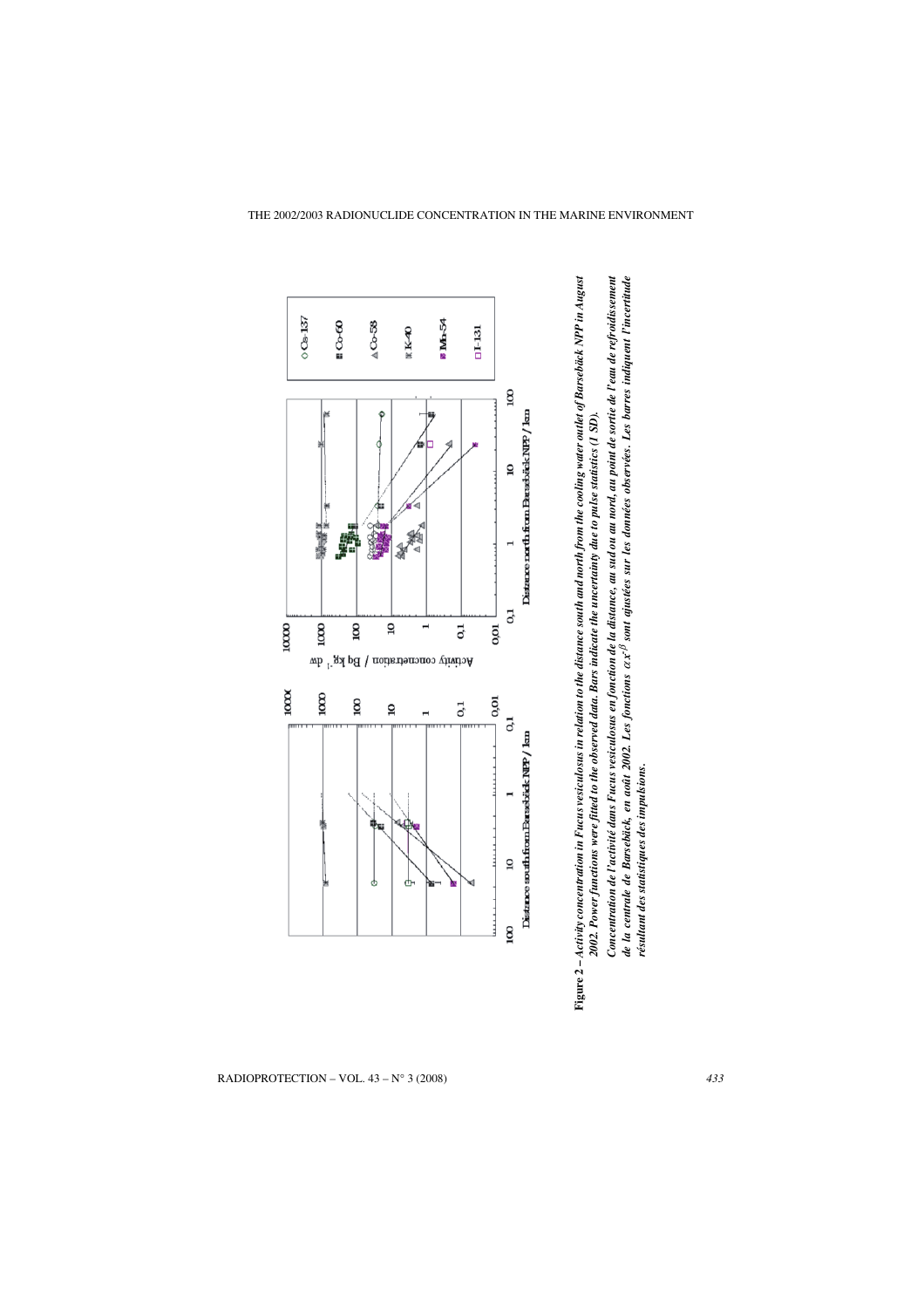



*résultant des statistiques des impulsions.*

RADIOPROTECTION – VOL. 43 – N° 3 (2008) *433*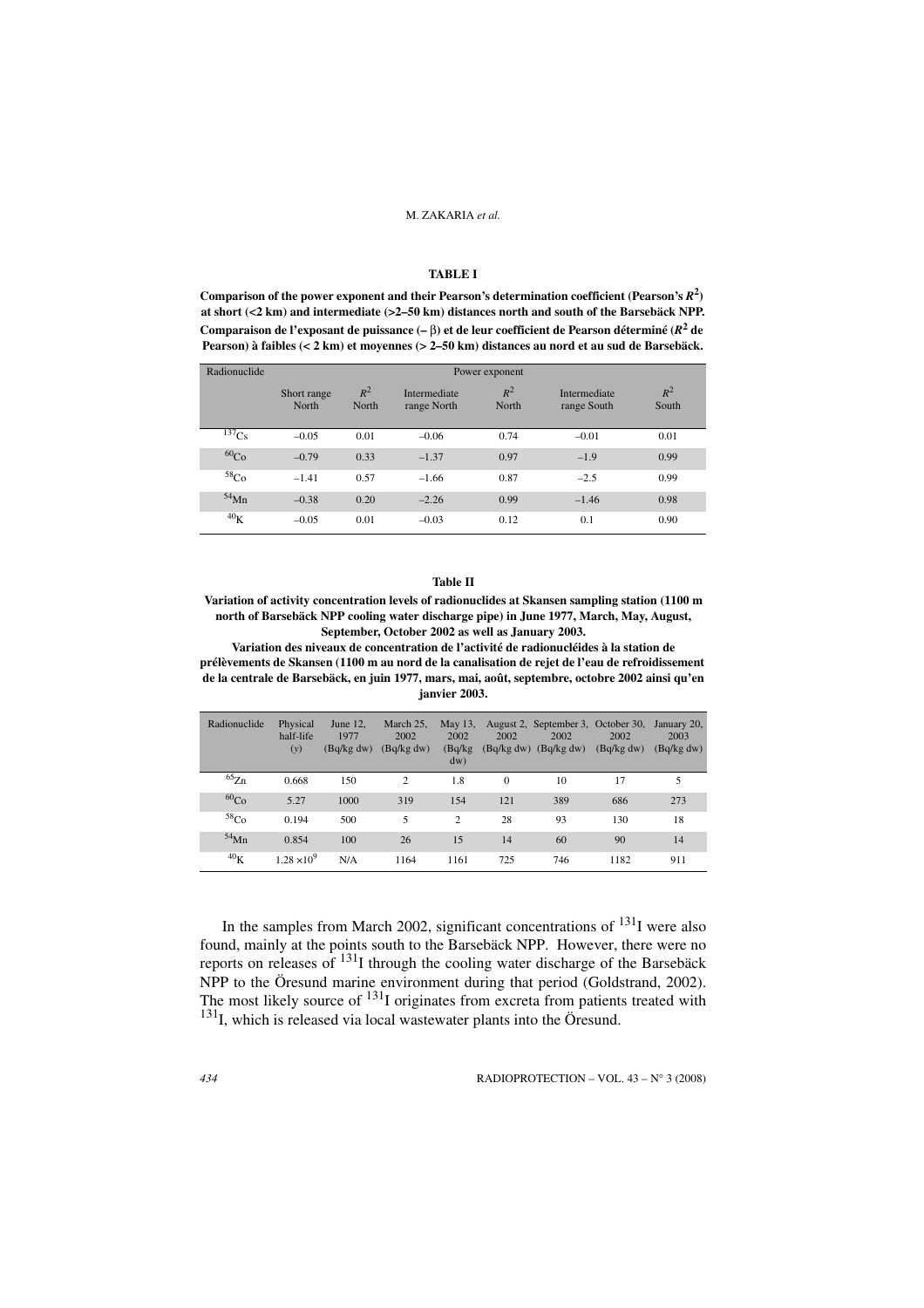#### **TABLE I**

Comparison of the power exponent and their Pearson's determination coefficient (Pearson's  $R^2$ ) **at short (<2 km) and intermediate (>2–50 km) distances north and south of the Barsebäck NPP. Comparaison de l'exposant de puissance (–** β**) et de leur coefficient de Pearson déterminé (***R***<sup>2</sup> de Pearson) à faibles (< 2 km) et moyennes (> 2–50 km) distances au nord et au sud de Barsebäck.**

| Radionuclide     | Power exponent       |                |                             |                |                             |                |  |
|------------------|----------------------|----------------|-----------------------------|----------------|-----------------------------|----------------|--|
|                  | Short range<br>North | $R^2$<br>North | Intermediate<br>range North | $R^2$<br>North | Intermediate<br>range South | $R^2$<br>South |  |
| $^{137}Cs$       | $-0.05$              | 0.01           | $-0.06$                     | 0.74           | $-0.01$                     | 0.01           |  |
| 60 <sub>Co</sub> | $-0.79$              | 0.33           | $-1.37$                     | 0.97           | $-1.9$                      | 0.99           |  |
| 58 <sub>Co</sub> | $-1.41$              | 0.57           | $-1.66$                     | 0.87           | $-2.5$                      | 0.99           |  |
| $54$ Mn          | $-0.38$              | 0.20           | $-2.26$                     | 0.99           | $-1.46$                     | 0.98           |  |
| 40 <sub>K</sub>  | $-0.05$              | 0.01           | $-0.03$                     | 0.12           | 0.1                         | 0.90           |  |

#### **Table II**

**Variation of activity concentration levels of radionuclides at Skansen sampling station (1100 m north of Barsebäck NPP cooling water discharge pipe) in June 1977, March, May, August, September, October 2002 as well as January 2003.**

**Variation des niveaux de concentration de l'activité de radionucléides à la station de prélèvements de Skansen (1100 m au nord de la canalisation de rejet de l'eau de refroidissement de la centrale de Barsebäck, en juin 1977, mars, mai, août, septembre, octobre 2002 ainsi qu'en janvier 2003.**

| Radionuclide     | Physical<br>half-life<br>(y) | June 12.<br>1977<br>(Bq/kg dw) | March 25,<br>2002<br>(Bq/kg dw) | May 13.<br>2002<br>(Bq/kg<br>$dw$ ) | 2002     | August 2, September 3, October 30,<br>2002<br>$(Bq/kg dw)$ $(Bq/kg dw)$ | 2002<br>(Bq/kg dw) | January 20,<br>2003<br>(Bq/kg dw) |
|------------------|------------------------------|--------------------------------|---------------------------------|-------------------------------------|----------|-------------------------------------------------------------------------|--------------------|-----------------------------------|
| ${}^{65}Zn$      | 0.668                        | 150                            | $\overline{c}$                  | 1.8                                 | $\Omega$ | 10                                                                      | 17                 | 5                                 |
| $^{60}Co$        | 5.27                         | 1000                           | 319                             | 154                                 | 121      | 389                                                                     | 686                | 273                               |
| 58 <sub>Co</sub> | 0.194                        | 500                            | 5                               | $\overline{c}$                      | 28       | 93                                                                      | 130                | 18                                |
| $54$ Mn          | 0.854                        | 100                            | 26                              | 15                                  | 14       | 60                                                                      | 90                 | 14                                |
| 40 <sub>K</sub>  | $1.28 \times 10^{9}$         | N/A                            | 1164                            | 1161                                | 725      | 746                                                                     | 1182               | 911                               |

In the samples from March 2002, significant concentrations of  $^{131}I$  were also found, mainly at the points south to the Barsebäck NPP. However, there were no reports on releases of  $^{131}$ I through the cooling water discharge of the Barsebäck NPP to the Öresund marine environment during that period (Goldstrand, 2002). The most likely source of  $131$ I originates from excreta from patients treated with  $131$ <sub>I</sub>, which is released via local wastewater plants into the Öresund.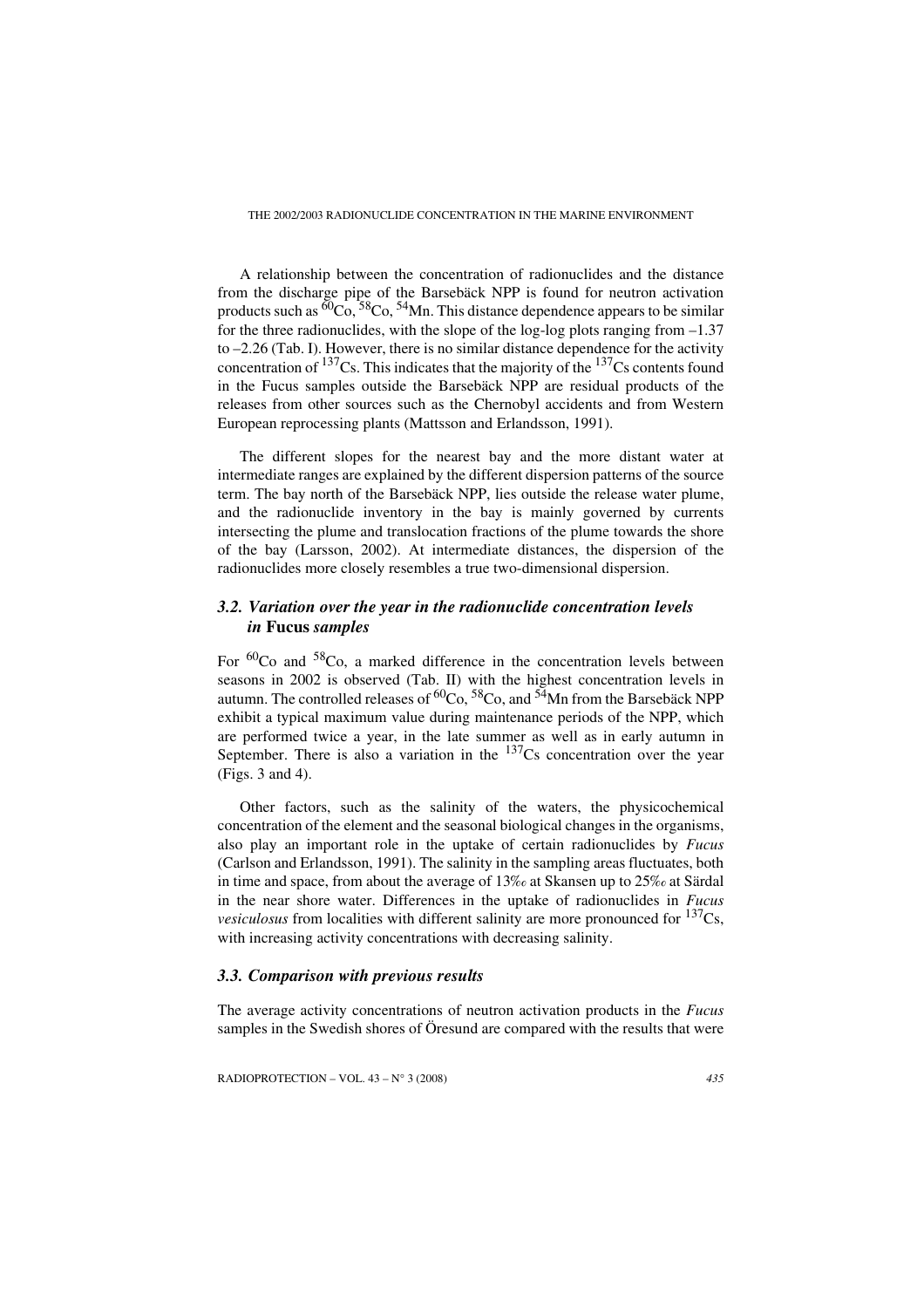THE 2002/2003 RADIONUCLIDE CONCENTRATION IN THE MARINE ENVIRONMENT

A relationship between the concentration of radionuclides and the distance from the discharge pipe of the Barsebäck NPP is found for neutron activation products such as  ${}^{60}Co$ ,  ${}^{58}Co$ ,  ${}^{54}Mn$ . This distance dependence appears to be similar for the three radionuclides, with the slope of the log-log plots ranging from –1.37 to –2.26 (Tab. I). However, there is no similar distance dependence for the activity concentration of  $^{137}$ Cs. This indicates that the majority of the  $^{137}$ Cs contents found in the Fucus samples outside the Barsebäck NPP are residual products of the releases from other sources such as the Chernobyl accidents and from Western European reprocessing plants (Mattsson and Erlandsson, 1991).

The different slopes for the nearest bay and the more distant water at intermediate ranges are explained by the different dispersion patterns of the source term. The bay north of the Barsebäck NPP, lies outside the release water plume, and the radionuclide inventory in the bay is mainly governed by currents intersecting the plume and translocation fractions of the plume towards the shore of the bay (Larsson, 2002). At intermediate distances, the dispersion of the radionuclides more closely resembles a true two-dimensional dispersion.

# *3.2. Variation over the year in the radionuclide concentration levels in* **Fucus** *samples*

For  ${}^{60}$ Co and  ${}^{58}$ Co, a marked difference in the concentration levels between seasons in 2002 is observed (Tab. II) with the highest concentration levels in autumn. The controlled releases of  ${}^{60}Co$ ,  ${}^{58}Co$ , and  ${}^{54}Mn$  from the Barsebäck NPP exhibit a typical maximum value during maintenance periods of the NPP, which are performed twice a year, in the late summer as well as in early autumn in September. There is also a variation in the  $137Cs$  concentration over the year (Figs. 3 and 4).

Other factors, such as the salinity of the waters, the physicochemical concentration of the element and the seasonal biological changes in the organisms, also play an important role in the uptake of certain radionuclides by *Fucus* (Carlson and Erlandsson, 1991). The salinity in the sampling areas fluctuates, both in time and space, from about the average of 13‰ at Skansen up to 25‰ at Särdal in the near shore water. Differences in the uptake of radionuclides in *Fucus vesiculosus* from localities with different salinity are more pronounced for  $137Cs$ . with increasing activity concentrations with decreasing salinity.

# *3.3. Comparison with previous results*

The average activity concentrations of neutron activation products in the *Fucus* samples in the Swedish shores of Öresund are compared with the results that were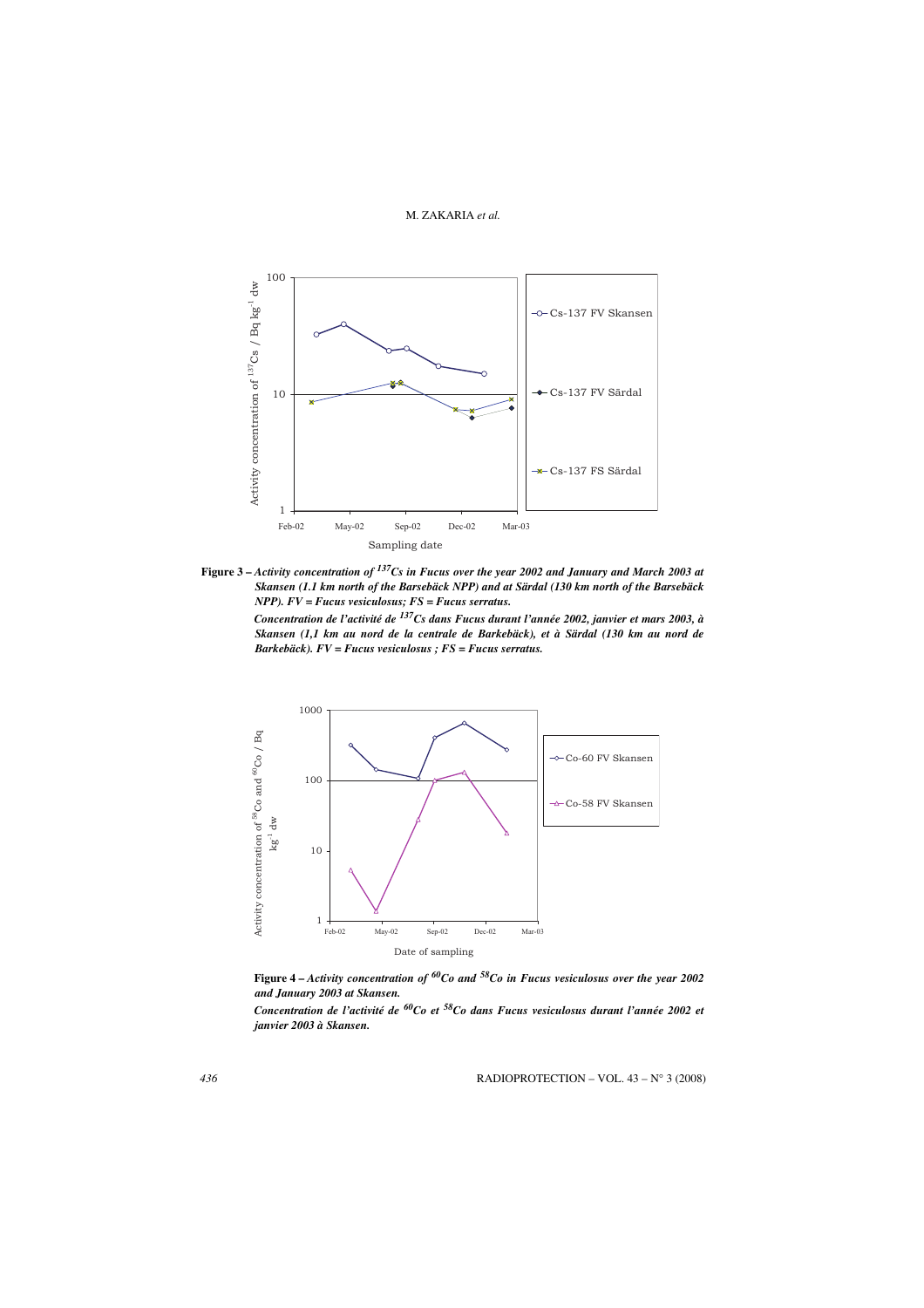

**Figure 3 –** *Activity concentration of 137Cs in Fucus over the year 2002 and January and March 2003 at Skansen (1.1 km north of the Barsebäck NPP) and at Särdal (130 km north of the Barsebäck NPP). FV = Fucus vesiculosus; FS = Fucus serratus.*

*Concentration de l'activité de 137Cs dans Fucus durant l'année 2002, janvier et mars 2003, à Skansen (1,1 km au nord de la centrale de Barkebäck), et à Särdal (130 km au nord de Barkebäck). FV = Fucus vesiculosus ; FS = Fucus serratus.*



**Figure 4 –** *Activity concentration of 60Co and 58Co in Fucus vesiculosus over the year 2002 and January 2003 at Skansen.*

*Concentration de l'activité de 60Co et 58Co dans Fucus vesiculosus durant l'année 2002 et janvier 2003 à Skansen.*

*436* RADIOPROTECTION – VOL. 43 – N° 3 (2008)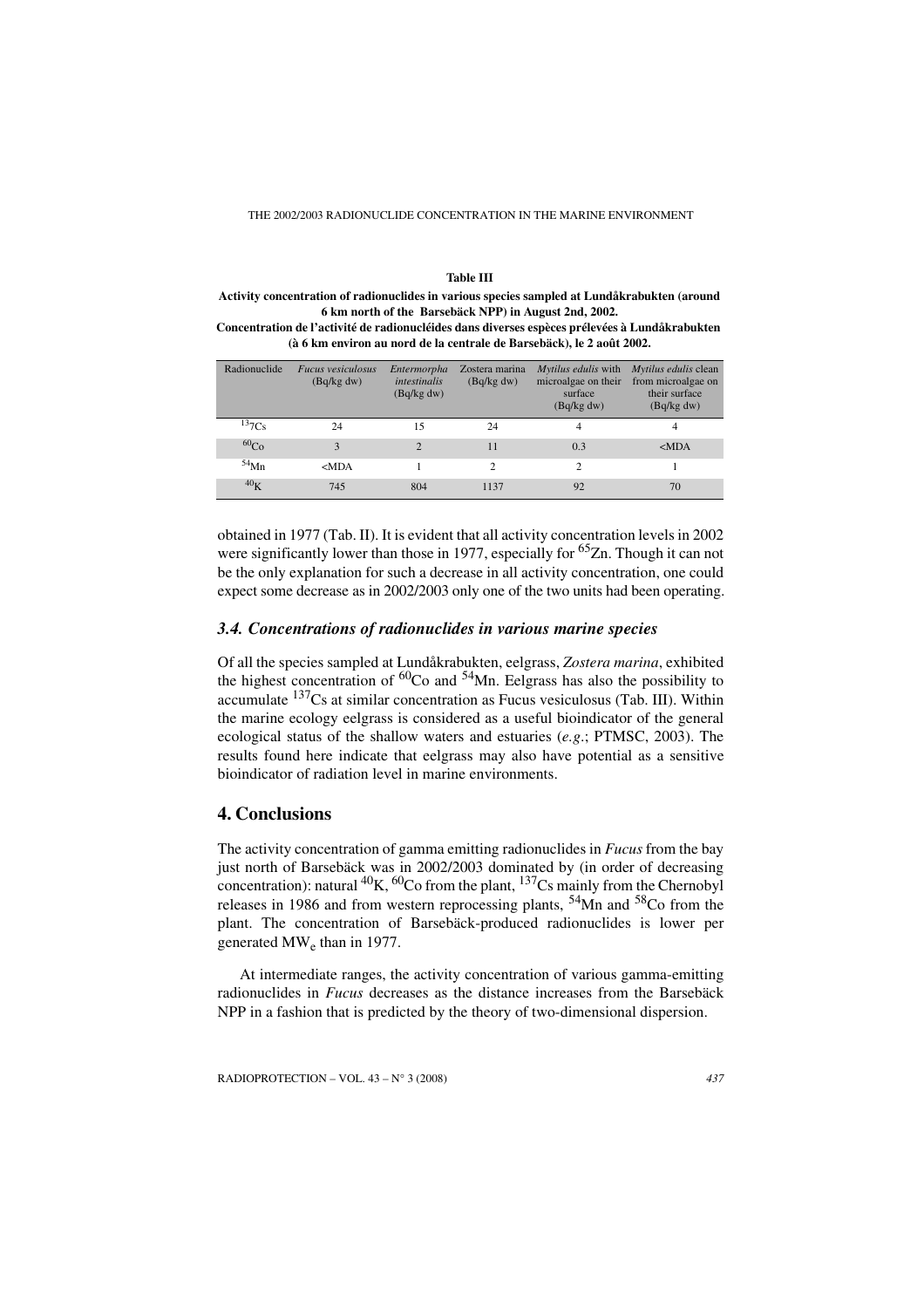THE 2002/2003 RADIONUCLIDE CONCENTRATION IN THE MARINE ENVIRONMENT

#### **Table III**

**Activity concentration of radionuclides in various species sampled at Lundåkrabukten (around 6 km north of the Barsebäck NPP) in August 2nd, 2002.**

**Concentration de l'activité de radionucléides dans diverses espèces prélevées à Lundåkrabukten (à 6 km environ au nord de la centrale de Barsebäck), le 2 août 2002.**

| Radionuclide     | Fucus vesiculosus<br>(Bq/kg dw) | Entermorpha<br><i>intestinalis</i><br>(Bq/kg dw) | Zostera marina<br>(Bq/kg dw) | Mytilus edulis with<br>microalgae on their<br>surface<br>(Bq/kg dw) | Mytilus edulis clean<br>from microalgae on<br>their surface<br>(Bq/kg dw) |
|------------------|---------------------------------|--------------------------------------------------|------------------------------|---------------------------------------------------------------------|---------------------------------------------------------------------------|
| $^{13}7Cs$       | 24                              | 15                                               | 24                           | 4                                                                   | 4                                                                         |
| 60 <sub>Co</sub> | 3                               | 2                                                | 11                           | 0.3                                                                 | $MDA$                                                                     |
| $54$ Mn          | $MDA$                           |                                                  | $\mathfrak{D}$               | $\mathfrak{D}$                                                      |                                                                           |
| 40 <sub>K</sub>  | 745                             | 804                                              | 1137                         | 92                                                                  | 70                                                                        |

obtained in 1977 (Tab. II). It is evident that all activity concentration levels in 2002 were significantly lower than those in 1977, especially for  ${}^{65}Zn$ . Though it can not be the only explanation for such a decrease in all activity concentration, one could expect some decrease as in 2002/2003 only one of the two units had been operating.

## *3.4. Concentrations of radionuclides in various marine species*

Of all the species sampled at Lundåkrabukten, eelgrass, *Zostera marina*, exhibited the highest concentration of  ${}^{60}$ Co and  ${}^{54}$ Mn. Eelgrass has also the possibility to accumulate  $137$ Cs at similar concentration as Fucus vesiculosus (Tab. III). Within the marine ecology eelgrass is considered as a useful bioindicator of the general ecological status of the shallow waters and estuaries (*e.g*.; PTMSC, 2003). The results found here indicate that eelgrass may also have potential as a sensitive bioindicator of radiation level in marine environments.

## **4. Conclusions**

The activity concentration of gamma emitting radionuclides in *Fucus* from the bay just north of Barsebäck was in 2002/2003 dominated by (in order of decreasing concentration): natural  ${}^{40}K$ ,  ${}^{60}Co$  from the plant,  ${}^{137}Cs$  mainly from the Chernobyl releases in 1986 and from western reprocessing plants,  $54$ Mn and  $58$ Co from the plant. The concentration of Barsebäck-produced radionuclides is lower per generated MW<sub>e</sub> than in 1977.

At intermediate ranges, the activity concentration of various gamma-emitting radionuclides in *Fucus* decreases as the distance increases from the Barsebäck NPP in a fashion that is predicted by the theory of two-dimensional dispersion.

RADIOPROTECTION – VOL. 43 – N° 3 (2008) *437*